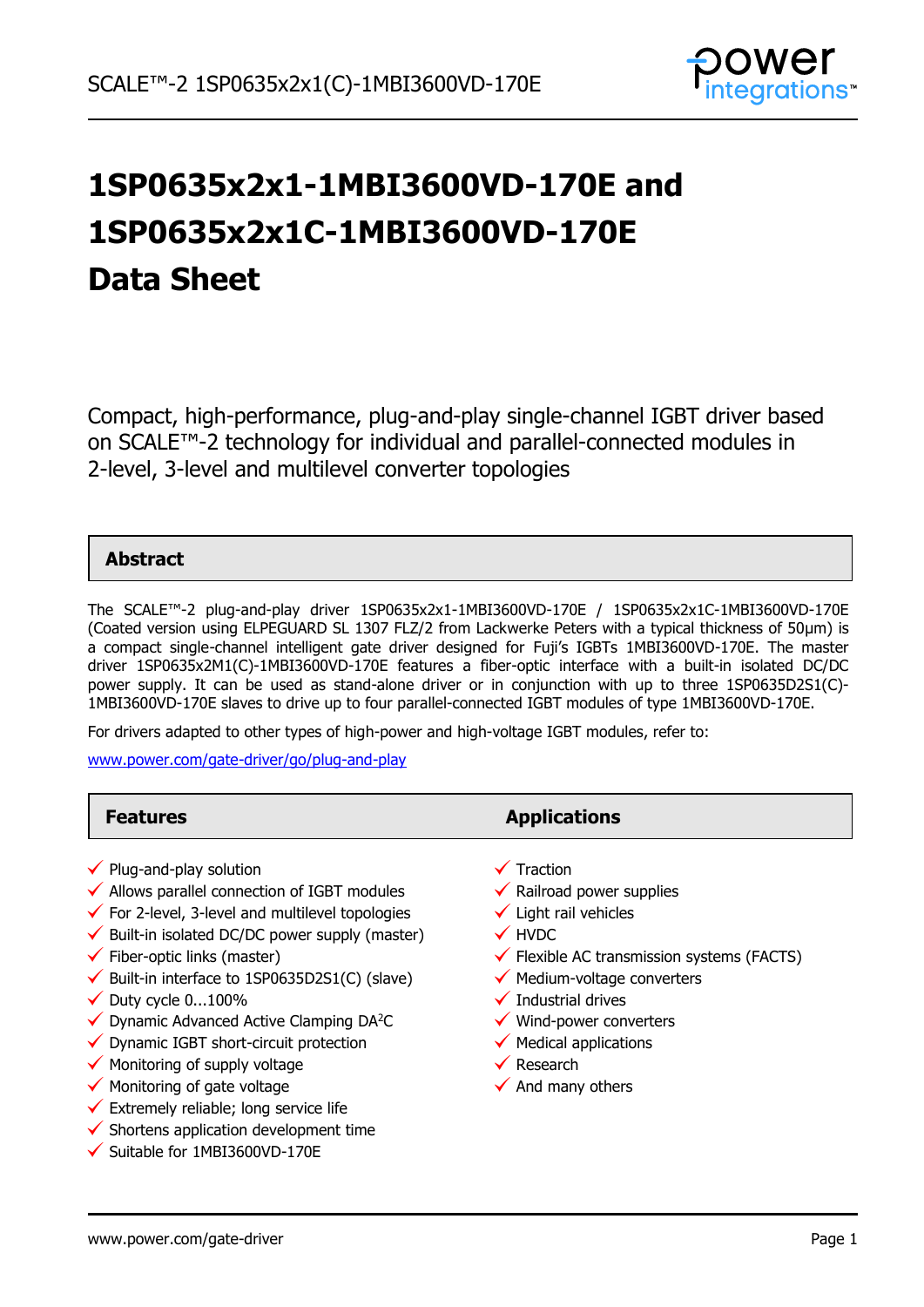

# **1SP0635x2x1-1MBI3600VD-170E and 1SP0635x2x1C-1MBI3600VD-170E Data Sheet**

Compact, high-performance, plug-and-play single-channel IGBT driver based on SCALE™-2 technology for individual and parallel-connected modules in 2-level, 3-level and multilevel converter topologies

### **Abstract**

The SCALE™-2 plug-and-play driver 1SP0635x2x1-1MBI3600VD-170E / 1SP0635x2x1C-1MBI3600VD-170E (Coated version using ELPEGUARD SL 1307 FLZ/2 from Lackwerke Peters with a typical thickness of 50µm) is a compact single-channel intelligent gate driver designed for Fuji's IGBTs 1MBI3600VD-170E. The master driver 1SP0635x2M1(C)-1MBI3600VD-170E features a fiber-optic interface with a built-in isolated DC/DC power supply. It can be used as stand-alone driver or in conjunction with up to three 1SP0635D2S1(C)- 1MBI3600VD-170E slaves to drive up to four parallel-connected IGBT modules of type 1MBI3600VD-170E.

For drivers adapted to other types of high-power and high-voltage IGBT modules, refer to:

[www.power.com/gate-driver/go/plug-and-play](http://www.power.com/gate-driver/go/plug-and-play)

| <b>Features</b>                                                                                                                                                                                                                                                                                                                                                                                                                                                                                                                                                                                                                                                                                               | <b>Applications</b>                                                                                                                                                                                                                                                                                                                                                                |
|---------------------------------------------------------------------------------------------------------------------------------------------------------------------------------------------------------------------------------------------------------------------------------------------------------------------------------------------------------------------------------------------------------------------------------------------------------------------------------------------------------------------------------------------------------------------------------------------------------------------------------------------------------------------------------------------------------------|------------------------------------------------------------------------------------------------------------------------------------------------------------------------------------------------------------------------------------------------------------------------------------------------------------------------------------------------------------------------------------|
| $\checkmark$ Plug-and-play solution<br>$\checkmark$ Allows parallel connection of IGBT modules<br>$\checkmark$ For 2-level, 3-level and multilevel topologies<br>$\checkmark$ Built-in isolated DC/DC power supply (master)<br>$\checkmark$ Fiber-optic links (master)<br>$\checkmark$ Built-in interface to 1SP0635D2S1(C) (slave)<br>$\checkmark$ Duty cycle 0100%<br>◆ Dynamic Advanced Active Clamping DA <sup>2</sup> C<br>◆ Dynamic IGBT short-circuit protection<br>$\checkmark$ Monitoring of supply voltage<br>$\checkmark$ Monitoring of gate voltage<br>$\checkmark$ Extremely reliable; long service life<br>$\checkmark$ Shortens application development time<br>✔ Suitable for 1MBI3600VD-170E | Traction<br>$\checkmark$ Railroad power supplies<br>$\checkmark$ Light rail vehicles<br>$\checkmark$ HVDC<br>$\checkmark$ Flexible AC transmission systems (FACTS)<br>$\checkmark$ Medium-voltage converters<br>$\checkmark$ Industrial drives<br>$\checkmark$ Wind-power converters<br>$\checkmark$ Medical applications<br>$\checkmark$ Research<br>$\checkmark$ And many others |
|                                                                                                                                                                                                                                                                                                                                                                                                                                                                                                                                                                                                                                                                                                               |                                                                                                                                                                                                                                                                                                                                                                                    |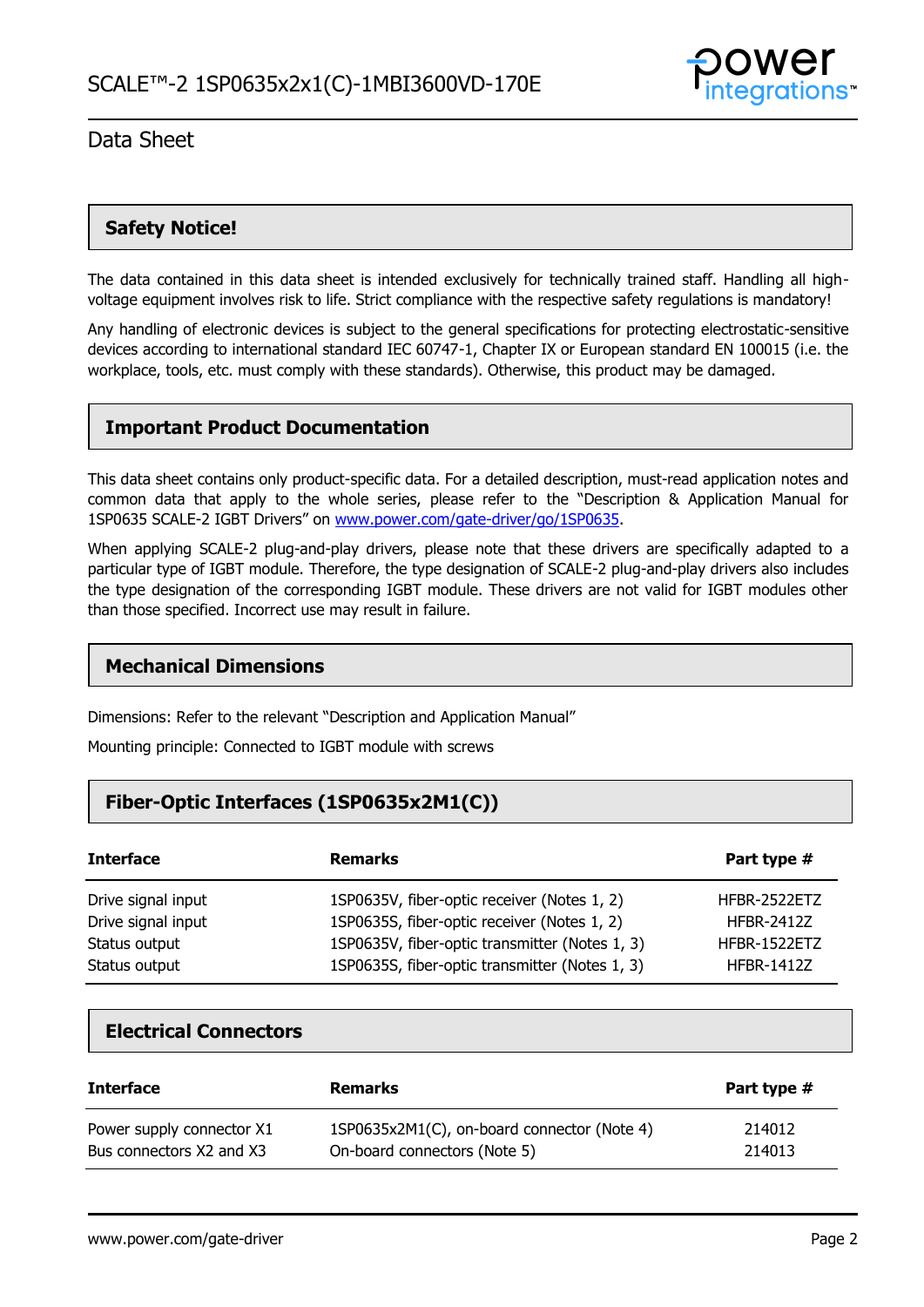

### **Safety Notice!**

The data contained in this data sheet is intended exclusively for technically trained staff. Handling all highvoltage equipment involves risk to life. Strict compliance with the respective safety regulations is mandatory!

Any handling of electronic devices is subject to the general specifications for protecting electrostatic-sensitive devices according to international standard IEC 60747-1, Chapter IX or European standard EN 100015 (i.e. the workplace, tools, etc. must comply with these standards). Otherwise, this product may be damaged.

### **Important Product Documentation**

This data sheet contains only product-specific data. For a detailed description, must-read application notes and common data that apply to the whole series, please refer to the "Description & Application Manual for 1SP0635 SCALE-2 IGBT Drivers" on [www.power.com/gate-driver/go/1SP0635.](http://www.power.com/gate-driver/go/1SP0635)

When applying SCALE-2 plug-and-play drivers, please note that these drivers are specifically adapted to a particular type of IGBT module. Therefore, the type designation of SCALE-2 plug-and-play drivers also includes the type designation of the corresponding IGBT module. These drivers are not valid for IGBT modules other than those specified. Incorrect use may result in failure.

### **Mechanical Dimensions**

Dimensions: Refer to the relevant "Description and Application Manual"

Mounting principle: Connected to IGBT module with screws

### **Fiber-Optic Interfaces (1SP0635x2M1(C))**

| <b>Interface</b>   | <b>Remarks</b>                                 | Part type #       |
|--------------------|------------------------------------------------|-------------------|
| Drive signal input | 1SP0635V, fiber-optic receiver (Notes 1, 2)    | HFBR-2522ETZ      |
| Drive signal input | 1SP0635S, fiber-optic receiver (Notes 1, 2)    | <b>HFBR-2412Z</b> |
| Status output      | 1SP0635V, fiber-optic transmitter (Notes 1, 3) | HFBR-1522ETZ      |
| Status output      | 1SP0635S, fiber-optic transmitter (Notes 1, 3) | <b>HFBR-1412Z</b> |

### **Electrical Connectors**

| <b>Interface</b>          | <b>Remarks</b>                              | Part type # |
|---------------------------|---------------------------------------------|-------------|
| Power supply connector X1 | 1SP0635x2M1(C), on-board connector (Note 4) | 214012      |
| Bus connectors X2 and X3  | On-board connectors (Note 5)                | 214013      |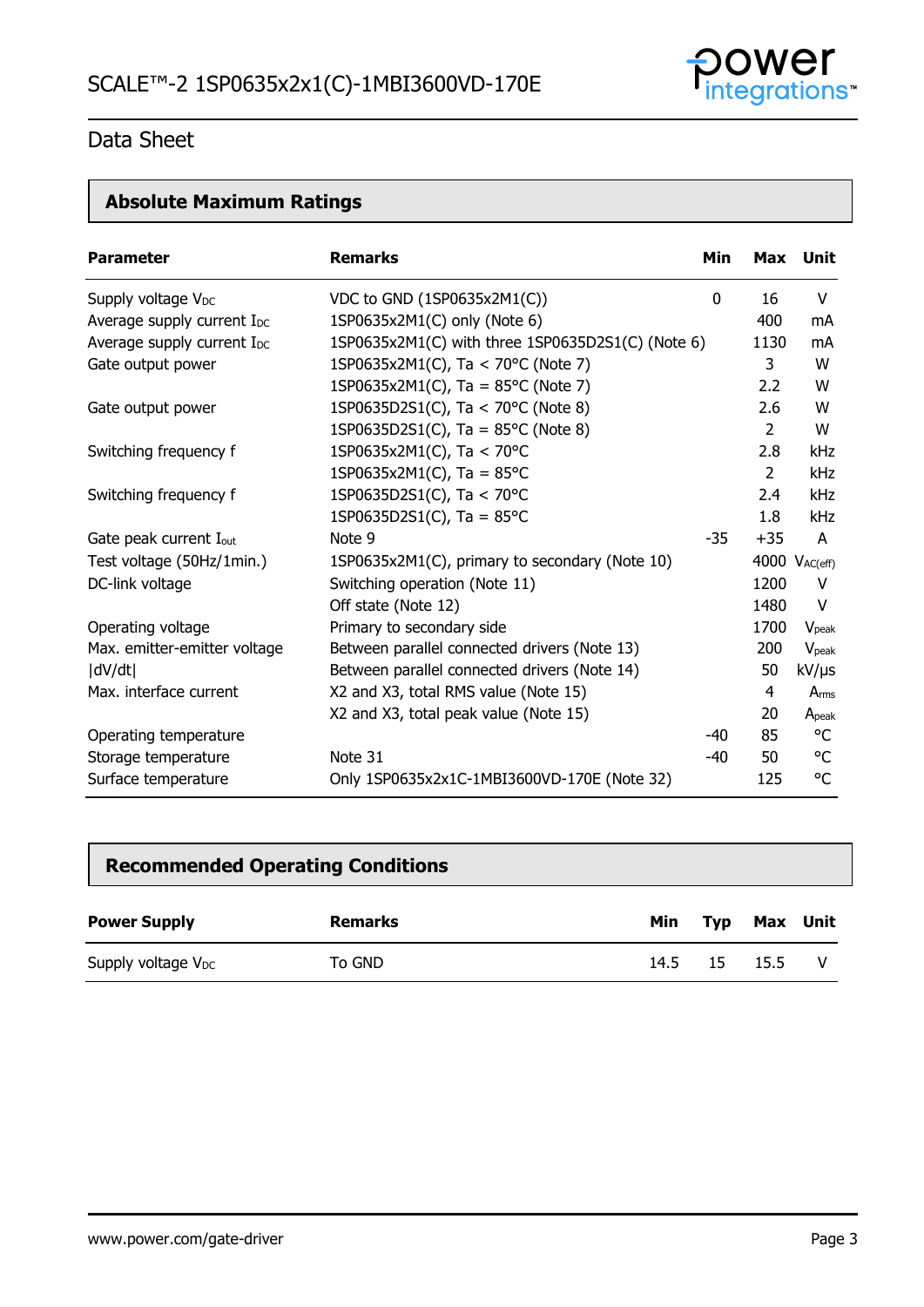

# **Absolute Maximum Ratings**

| <b>Parameter</b>                       | <b>Remarks</b>                                    | Min         |       | Max Unit           |
|----------------------------------------|---------------------------------------------------|-------------|-------|--------------------|
| Supply voltage V <sub>DC</sub>         | VDC to GND (1SP0635x2M1(C))                       | $\mathbf 0$ | 16    | V                  |
| Average supply current I <sub>DC</sub> | 1SP0635x2M1(C) only (Note 6)                      |             | 400   | mA                 |
| Average supply current I <sub>DC</sub> | 1SP0635x2M1(C) with three 1SP0635D2S1(C) (Note 6) |             | 1130  | mA                 |
| Gate output power                      | 1SP0635x2M1(C), Ta < 70°C (Note 7)                |             | 3     | W                  |
|                                        | 1SP0635x2M1(C), Ta = $85^{\circ}$ C (Note 7)      |             | 2.2   | W                  |
| Gate output power                      | 1SP0635D2S1(C), Ta < 70°C (Note 8)                |             | 2.6   | W                  |
|                                        | 1SP0635D2S1(C), Ta = $85^{\circ}$ C (Note 8)      |             | 2     | W                  |
| Switching frequency f                  | 1SP0635x2M1(C), Ta < 70°C                         |             | 2.8   | <b>kHz</b>         |
|                                        | 1SP0635x2M1(C), Ta = $85^{\circ}$ C               |             | 2     | <b>kHz</b>         |
| Switching frequency f                  | 1SP0635D2S1(C), Ta < 70°C                         |             | 2.4   | <b>kHz</b>         |
|                                        | 1SP0635D2S1(C), Ta = $85^{\circ}$ C               |             | 1.8   | <b>kHz</b>         |
| Gate peak current I <sub>out</sub>     | Note 9                                            | $-35$       | $+35$ | A                  |
| Test voltage (50Hz/1min.)              | 1SP0635x2M1(C), primary to secondary (Note 10)    |             |       | 4000 $V_{AC(eff)}$ |
| DC-link voltage                        | Switching operation (Note 11)                     |             | 1200  | V                  |
|                                        | Off state (Note 12)                               |             | 1480  | V                  |
| Operating voltage                      | Primary to secondary side                         |             | 1700  | V <sub>peak</sub>  |
| Max. emitter-emitter voltage           | Between parallel connected drivers (Note 13)      |             | 200   | $V_{\text{peak}}$  |
| dV/dt                                  | Between parallel connected drivers (Note 14)      |             | 50    | kV/µs              |
| Max. interface current                 | X2 and X3, total RMS value (Note 15)              |             | 4     | Arms               |
|                                        | X2 and X3, total peak value (Note 15)             |             | 20    | A <sub>peak</sub>  |
| Operating temperature                  |                                                   | -40         | 85    | °C                 |
| Storage temperature                    | Note 31                                           | -40         | 50    | °C                 |
| Surface temperature                    | Only 1SP0635x2x1C-1MBI3600VD-170E (Note 32)       |             | 125   | °C                 |

# **Recommended Operating Conditions**

| <b>Power Supply</b>            | <b>Remarks</b> | Min  | <b>Typ</b> | Max  | Unit |
|--------------------------------|----------------|------|------------|------|------|
| Supply voltage V <sub>DC</sub> | To GND         | 14.5 | 15         | 15.5 | - V  |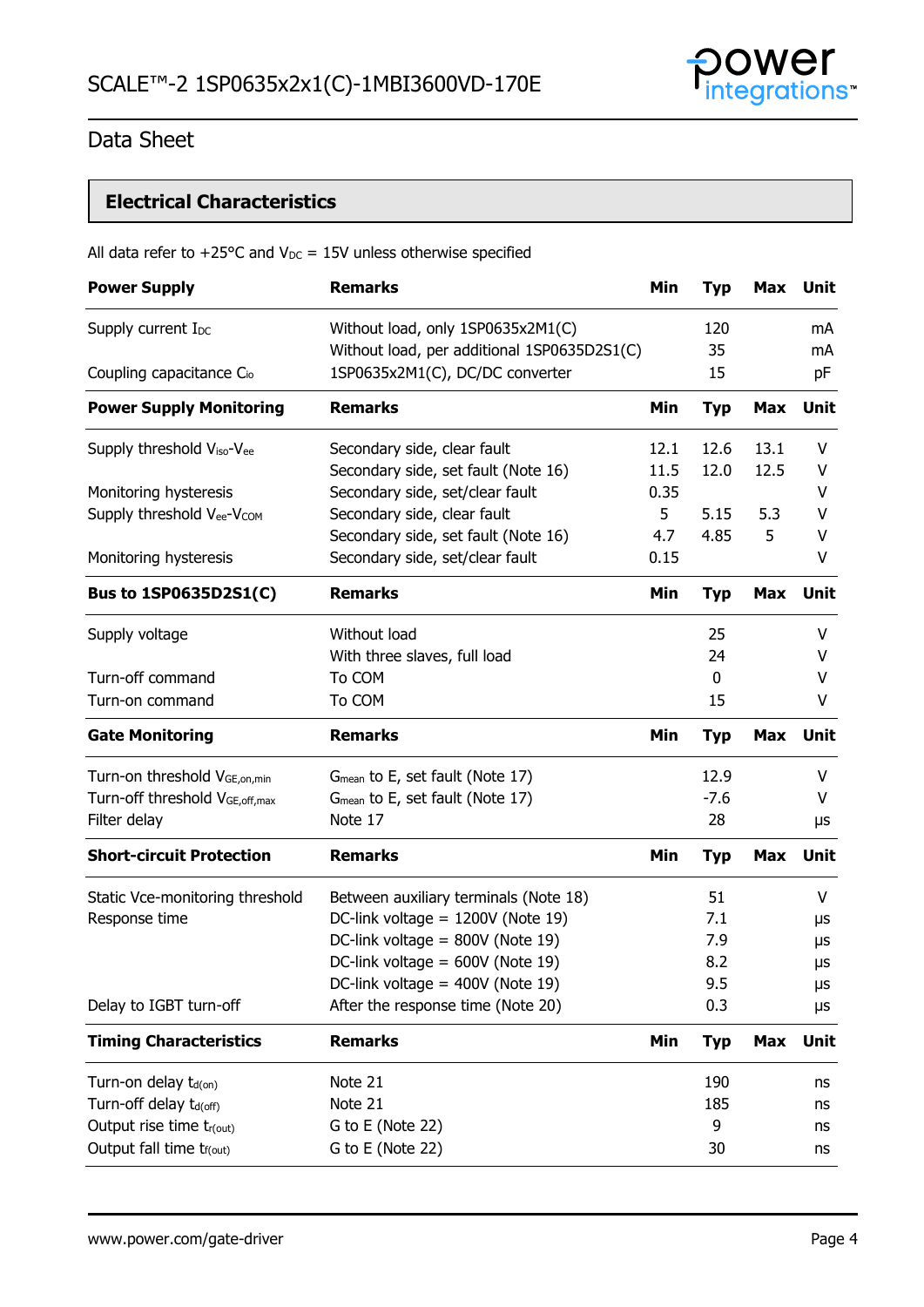

# **Electrical Characteristics**

### All data refer to +25°C and  $V_{DC}$  = 15V unless otherwise specified

|                                                                                           | Min  | <b>Typ</b>   | Max        | Unit        |
|-------------------------------------------------------------------------------------------|------|--------------|------------|-------------|
| Without load, only 1SP0635x2M1(C)<br>Supply current I <sub>DC</sub>                       |      | 120          |            | mA          |
| Without load, per additional 1SP0635D2S1(C)                                               |      | 35           |            | mA          |
| 1SP0635x2M1(C), DC/DC converter<br>Coupling capacitance C <sub>io</sub>                   |      | 15           |            | pF          |
| <b>Power Supply Monitoring</b><br><b>Remarks</b>                                          | Min  | <b>Typ</b>   | <b>Max</b> | <b>Unit</b> |
| Supply threshold V <sub>iso</sub> -V <sub>ee</sub><br>Secondary side, clear fault         | 12.1 | 12.6         | 13.1       | V           |
| Secondary side, set fault (Note 16)                                                       | 11.5 | 12.0         | 12.5       | V           |
| Secondary side, set/clear fault<br>Monitoring hysteresis                                  | 0.35 |              |            | V           |
| Supply threshold Vee-VCOM<br>Secondary side, clear fault                                  | 5    | 5.15         | 5.3        | v           |
| Secondary side, set fault (Note 16)                                                       | 4.7  | 4.85         | 5          | V           |
| Secondary side, set/clear fault<br>Monitoring hysteresis                                  | 0.15 |              |            | V           |
| <b>Remarks</b><br><b>Bus to 1SP0635D2S1(C)</b>                                            | Min  | <b>Typ</b>   | <b>Max</b> | <b>Unit</b> |
| Without load<br>Supply voltage                                                            |      | 25           |            | V           |
| With three slaves, full load                                                              |      | 24           |            | v           |
| Turn-off command<br>To COM                                                                |      | $\mathbf{0}$ |            | V           |
| To COM<br>Turn-on command                                                                 |      | 15           |            | V           |
| <b>Remarks</b><br><b>Gate Monitoring</b>                                                  | Min  | <b>Typ</b>   | Max        | Unit        |
| Turn-on threshold V <sub>GE, on, min</sub><br>G <sub>mean</sub> to E, set fault (Note 17) |      | 12.9         |            | V           |
| Turn-off threshold VGE, off, max<br>G <sub>mean</sub> to E, set fault (Note 17)           |      | $-7.6$       |            | V           |
| Note 17<br>Filter delay                                                                   |      | 28           |            | μs          |
|                                                                                           |      |              |            |             |
| <b>Short-circuit Protection</b><br><b>Remarks</b>                                         | Min  | <b>Typ</b>   | <b>Max</b> | Unit        |
| Static Vce-monitoring threshold<br>Between auxiliary terminals (Note 18)                  |      | 51           |            | V           |
| DC-link voltage = $1200V$ (Note 19)<br>Response time                                      |      | 7.1          |            | μs          |
| DC-link voltage = $800V$ (Note 19)                                                        |      | 7.9          |            | μs          |
| DC-link voltage = $600V$ (Note 19)                                                        |      | 8.2          |            | μs          |
| DC-link voltage = $400V$ (Note 19)                                                        |      | 9.5          |            |             |
| After the response time (Note 20)<br>Delay to IGBT turn-off                               |      | 0.3          |            | μs<br>μs    |
| <b>Remarks</b><br><b>Timing Characteristics</b>                                           | Min  | <b>Typ</b>   | <b>Max</b> | Unit        |
| Note 21<br>Turn-on delay t <sub>d(on)</sub>                                               |      | 190          |            | ns          |
| Note 21<br>Turn-off delay t <sub>d(off)</sub>                                             |      | 185          |            | ns          |
| Output rise time tr(out)<br>G to E (Note 22)                                              |      | 9            |            | ns          |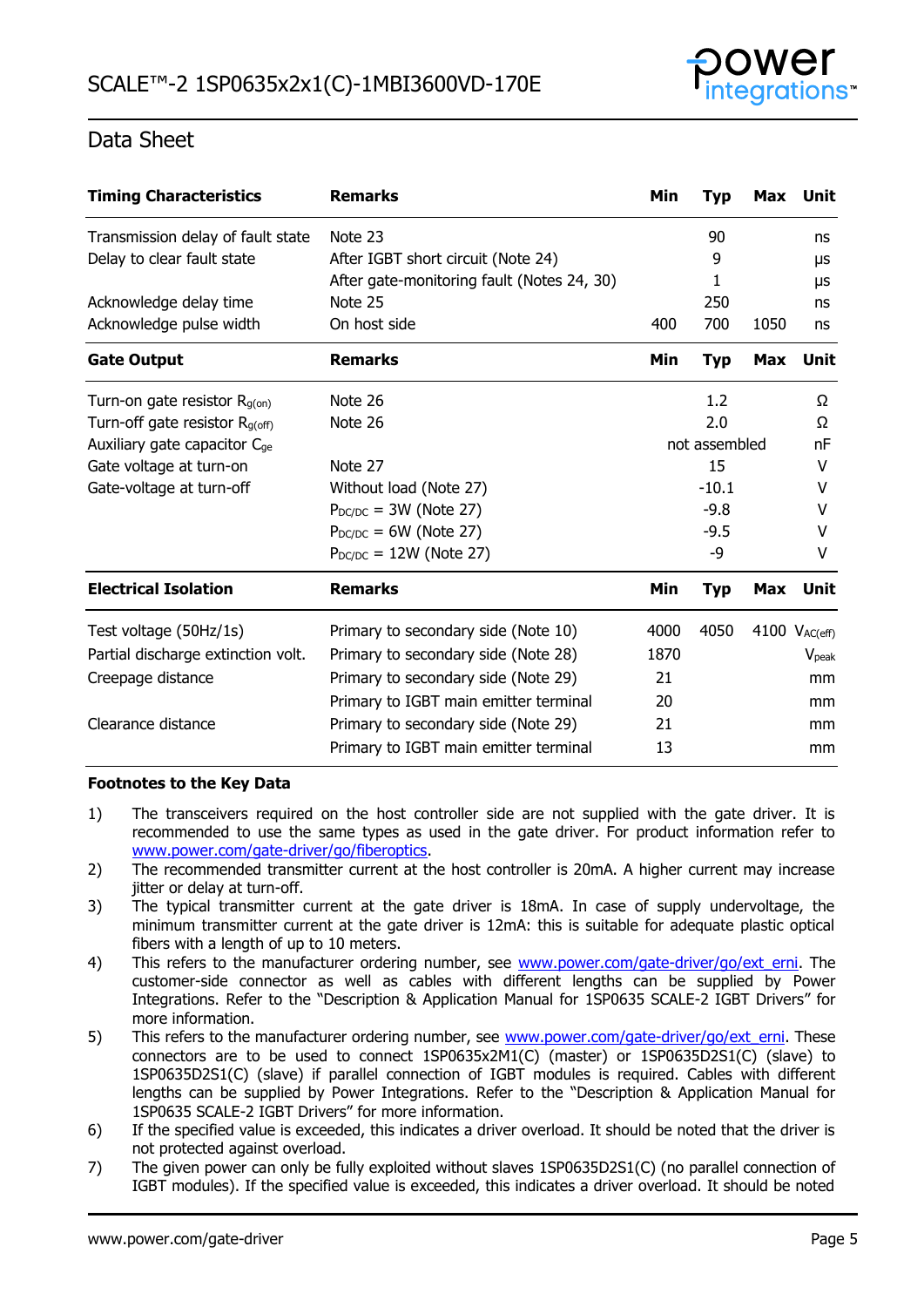

| <b>Timing Characteristics</b>            | <b>Remarks</b>                             | Min           | <b>Typ</b> | <b>Max</b> | Unit              |
|------------------------------------------|--------------------------------------------|---------------|------------|------------|-------------------|
| Transmission delay of fault state        | Note 23                                    |               | 90         |            | ns                |
| Delay to clear fault state               | After IGBT short circuit (Note 24)         |               | 9          |            | μs                |
|                                          | After gate-monitoring fault (Notes 24, 30) |               | 1          |            | μs                |
| Acknowledge delay time                   | Note 25                                    |               | 250        |            | ns                |
| Acknowledge pulse width                  | On host side                               | 400           | 700        | 1050       | ns                |
| <b>Gate Output</b>                       | <b>Remarks</b>                             | Min           | <b>Typ</b> | Max        | Unit              |
| Turn-on gate resistor $R_{g(0n)}$        | Note 26                                    |               | 1.2        |            | Ω                 |
| Turn-off gate resistor $R_{q(off)}$      | Note 26                                    |               | 2.0        |            | Ω                 |
| Auxiliary gate capacitor C <sub>ge</sub> |                                            | not assembled |            | nF         |                   |
| Gate voltage at turn-on                  | Note 27                                    |               | 15         |            | V                 |
| Gate-voltage at turn-off                 | Without load (Note 27)                     |               | $-10.1$    |            | v                 |
|                                          | $P_{DC/DC}$ = 3W (Note 27)                 |               | $-9.8$     |            | v                 |
|                                          | $P_{DC/DC} = 6W$ (Note 27)                 |               | $-9.5$     |            | v                 |
|                                          | $P_{DC/DC} = 12W$ (Note 27)                |               | -9         |            | v                 |
| <b>Electrical Isolation</b>              | <b>Remarks</b>                             | Min           | <b>Typ</b> | Max        | Unit              |
| Test voltage (50Hz/1s)                   | Primary to secondary side (Note 10)        | 4000          | 4050       |            | 4100 VAC(eff)     |
| Partial discharge extinction volt.       | Primary to secondary side (Note 28)        | 1870          |            |            | V <sub>peak</sub> |
| Creepage distance                        | Primary to secondary side (Note 29)        | 21            |            |            | mm                |
|                                          | Primary to IGBT main emitter terminal      | 20            |            |            | mm                |
| Clearance distance                       | Primary to secondary side (Note 29)        | 21            |            |            | mm                |
|                                          | Primary to IGBT main emitter terminal      | 13            |            |            | mm                |

### **Footnotes to the Key Data**

- 1) The transceivers required on the host controller side are not supplied with the gate driver. It is recommended to use the same types as used in the gate driver. For product information refer to [www.power.com/gate-driver/go/fiberoptics.](http://www.power.com/gate-driver/go/fiberoptics)
- 2) The recommended transmitter current at the host controller is 20mA. A higher current may increase jitter or delay at turn-off.
- 3) The typical transmitter current at the gate driver is 18mA. In case of supply undervoltage, the minimum transmitter current at the gate driver is 12mA: this is suitable for adequate plastic optical fibers with a length of up to 10 meters.
- 4) This refers to the manufacturer ordering number, see [www.power.com/gate-driver/go/ext\\_erni.](http://www.power.com/gate-driver/go/ext_erni) The customer-side connector as well as cables with different lengths can be supplied by Power Integrations. Refer to the "Description & Application Manual for 1SP0635 SCALE-2 IGBT Drivers" for more information.
- 5) This refers to the manufacturer ordering number, see [www.power.com/gate-driver/go/ext\\_erni.](http://www.power.com/gate-driver/go/ext_erni) These connectors are to be used to connect 1SP0635x2M1(C) (master) or 1SP0635D2S1(C) (slave) to 1SP0635D2S1(C) (slave) if parallel connection of IGBT modules is required. Cables with different lengths can be supplied by Power Integrations. Refer to the "Description & Application Manual for 1SP0635 SCALE-2 IGBT Drivers" for more information.
- 6) If the specified value is exceeded, this indicates a driver overload. It should be noted that the driver is not protected against overload.
- 7) The given power can only be fully exploited without slaves 1SP0635D2S1(C) (no parallel connection of IGBT modules). If the specified value is exceeded, this indicates a driver overload. It should be noted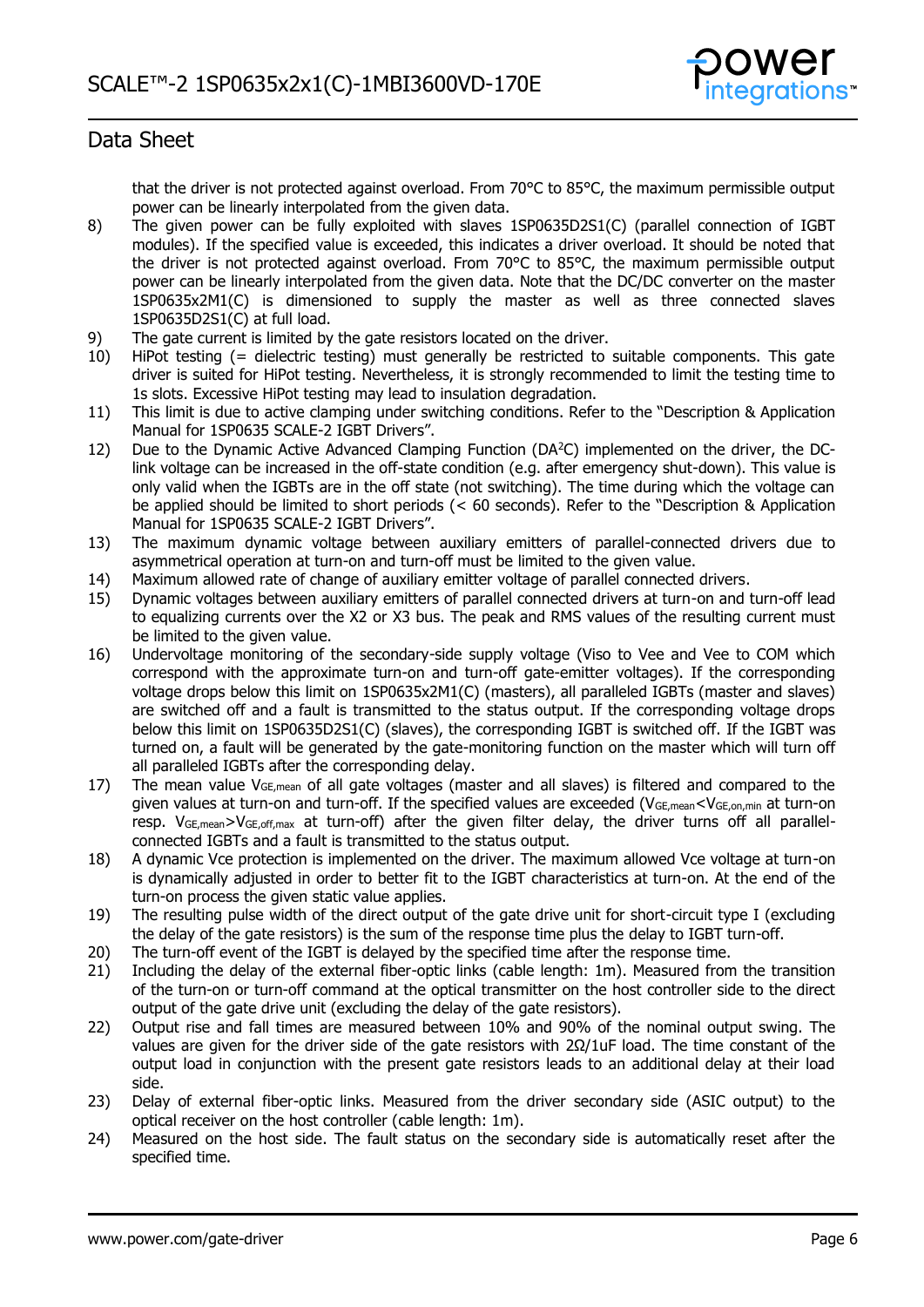

that the driver is not protected against overload. From 70°C to 85°C, the maximum permissible output power can be linearly interpolated from the given data.

- 8) The given power can be fully exploited with slaves 1SP0635D2S1(C) (parallel connection of IGBT modules). If the specified value is exceeded, this indicates a driver overload. It should be noted that the driver is not protected against overload. From 70°C to 85°C, the maximum permissible output power can be linearly interpolated from the given data. Note that the DC/DC converter on the master 1SP0635x2M1(C) is dimensioned to supply the master as well as three connected slaves 1SP0635D2S1(C) at full load.
- 9) The gate current is limited by the gate resistors located on the driver.
- 10) HiPot testing (= dielectric testing) must generally be restricted to suitable components. This gate driver is suited for HiPot testing. Nevertheless, it is strongly recommended to limit the testing time to 1s slots. Excessive HiPot testing may lead to insulation degradation.
- 11) This limit is due to active clamping under switching conditions. Refer to the "Description & Application Manual for 1SP0635 SCALE-2 IGBT Drivers".
- 12) Due to the Dynamic Active Advanced Clamping Function (DA<sup>2</sup>C) implemented on the driver, the DClink voltage can be increased in the off-state condition (e.g. after emergency shut-down). This value is only valid when the IGBTs are in the off state (not switching). The time during which the voltage can be applied should be limited to short periods (< 60 seconds). Refer to the "Description & Application Manual for 1SP0635 SCALE-2 IGBT Drivers".
- 13) The maximum dynamic voltage between auxiliary emitters of parallel-connected drivers due to asymmetrical operation at turn-on and turn-off must be limited to the given value.
- 14) Maximum allowed rate of change of auxiliary emitter voltage of parallel connected drivers.
- 15) Dynamic voltages between auxiliary emitters of parallel connected drivers at turn-on and turn-off lead to equalizing currents over the X2 or X3 bus. The peak and RMS values of the resulting current must be limited to the given value.
- 16) Undervoltage monitoring of the secondary-side supply voltage (Viso to Vee and Vee to COM which correspond with the approximate turn-on and turn-off gate-emitter voltages). If the corresponding voltage drops below this limit on 1SP0635x2M1(C) (masters), all paralleled IGBTs (master and slaves) are switched off and a fault is transmitted to the status output. If the corresponding voltage drops below this limit on 1SP0635D2S1(C) (slaves), the corresponding IGBT is switched off. If the IGBT was turned on, a fault will be generated by the gate-monitoring function on the master which will turn off all paralleled IGBTs after the corresponding delay.
- 17) The mean value  $V_{GE,mean}$  of all gate voltages (master and all slaves) is filtered and compared to the given values at turn-on and turn-off. If the specified values are exceeded ( $V_{GE,mean} < V_{GE,on,min}$  at turn-on resp.  $V_{GE,mean} > V_{GE,off,max}$  at turn-off) after the given filter delay, the driver turns off all parallelconnected IGBTs and a fault is transmitted to the status output.
- 18) A dynamic Vce protection is implemented on the driver. The maximum allowed Vce voltage at turn-on is dynamically adjusted in order to better fit to the IGBT characteristics at turn-on. At the end of the turn-on process the given static value applies.
- 19) The resulting pulse width of the direct output of the gate drive unit for short-circuit type I (excluding the delay of the gate resistors) is the sum of the response time plus the delay to IGBT turn-off.
- 20) The turn-off event of the IGBT is delayed by the specified time after the response time.
- 21) Including the delay of the external fiber-optic links (cable length: 1m). Measured from the transition of the turn-on or turn-off command at the optical transmitter on the host controller side to the direct output of the gate drive unit (excluding the delay of the gate resistors).
- 22) Output rise and fall times are measured between 10% and 90% of the nominal output swing. The values are given for the driver side of the gate resistors with  $2Ω/1uF$  load. The time constant of the output load in conjunction with the present gate resistors leads to an additional delay at their load side.
- 23) Delay of external fiber-optic links. Measured from the driver secondary side (ASIC output) to the optical receiver on the host controller (cable length: 1m).
- 24) Measured on the host side. The fault status on the secondary side is automatically reset after the specified time.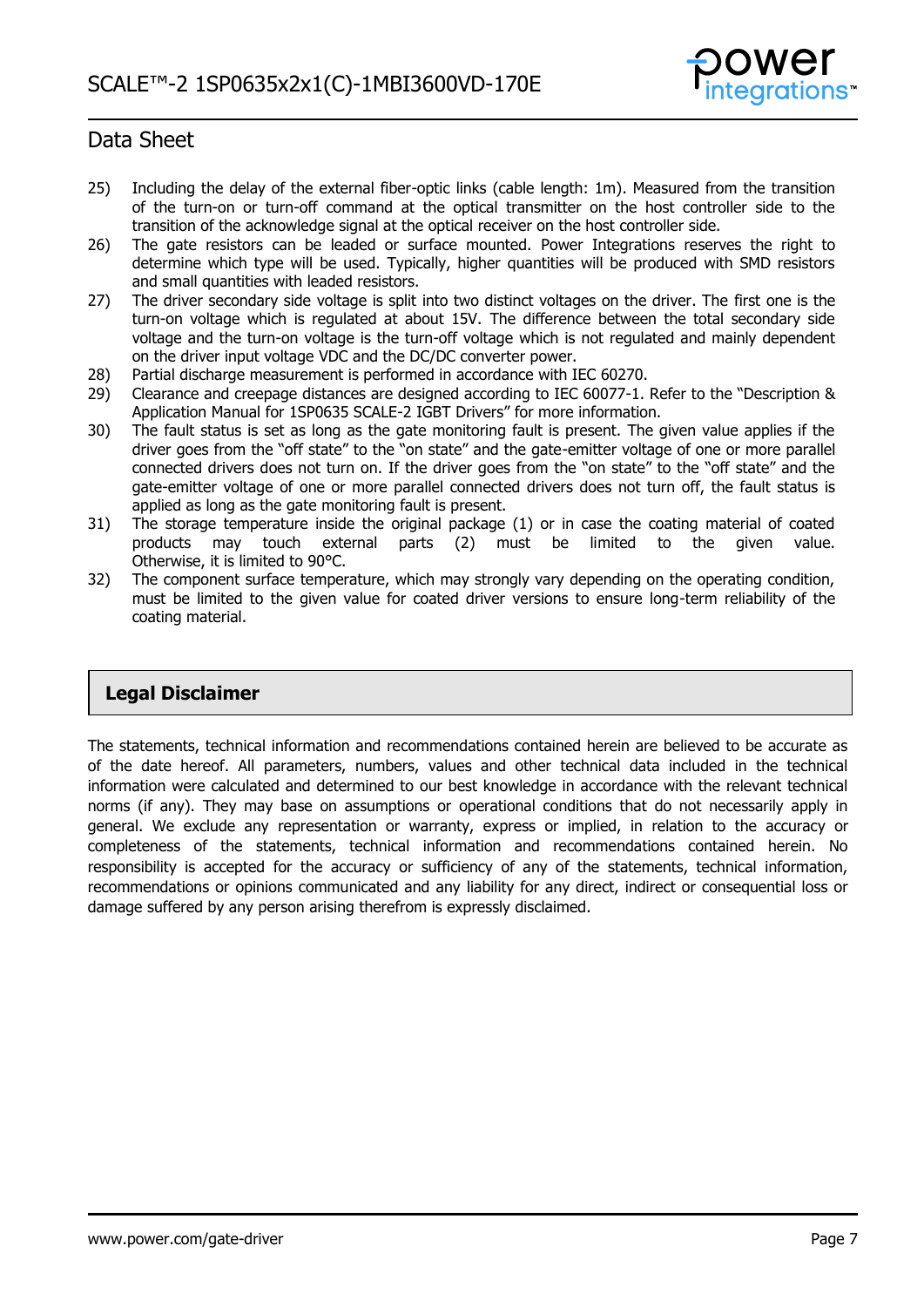

- 25) Including the delay of the external fiber-optic links (cable length: 1m). Measured from the transition of the turn-on or turn-off command at the optical transmitter on the host controller side to the transition of the acknowledge signal at the optical receiver on the host controller side.
- 26) The gate resistors can be leaded or surface mounted. Power Integrations reserves the right to determine which type will be used. Typically, higher quantities will be produced with SMD resistors and small quantities with leaded resistors.
- 27) The driver secondary side voltage is split into two distinct voltages on the driver. The first one is the turn-on voltage which is regulated at about 15V. The difference between the total secondary side voltage and the turn-on voltage is the turn-off voltage which is not regulated and mainly dependent on the driver input voltage VDC and the DC/DC converter power.
- 28) Partial discharge measurement is performed in accordance with IEC 60270.
- 29) Clearance and creepage distances are designed according to IEC 60077-1. Refer to the "Description & Application Manual for 1SP0635 SCALE-2 IGBT Drivers" for more information.
- 30) The fault status is set as long as the gate monitoring fault is present. The given value applies if the driver goes from the "off state" to the "on state" and the gate-emitter voltage of one or more parallel connected drivers does not turn on. If the driver goes from the "on state" to the "off state" and the gate-emitter voltage of one or more parallel connected drivers does not turn off, the fault status is applied as long as the gate monitoring fault is present.
- 31) The storage temperature inside the original package (1) or in case the coating material of coated products may touch external parts (2) must be limited to the given value. Otherwise, it is limited to 90°C.
- 32) The component surface temperature, which may strongly vary depending on the operating condition, must be limited to the given value for coated driver versions to ensure long-term reliability of the coating material.

### **Legal Disclaimer**

The statements, technical information and recommendations contained herein are believed to be accurate as of the date hereof. All parameters, numbers, values and other technical data included in the technical information were calculated and determined to our best knowledge in accordance with the relevant technical norms (if any). They may base on assumptions or operational conditions that do not necessarily apply in general. We exclude any representation or warranty, express or implied, in relation to the accuracy or completeness of the statements, technical information and recommendations contained herein. No responsibility is accepted for the accuracy or sufficiency of any of the statements, technical information, recommendations or opinions communicated and any liability for any direct, indirect or consequential loss or damage suffered by any person arising therefrom is expressly disclaimed.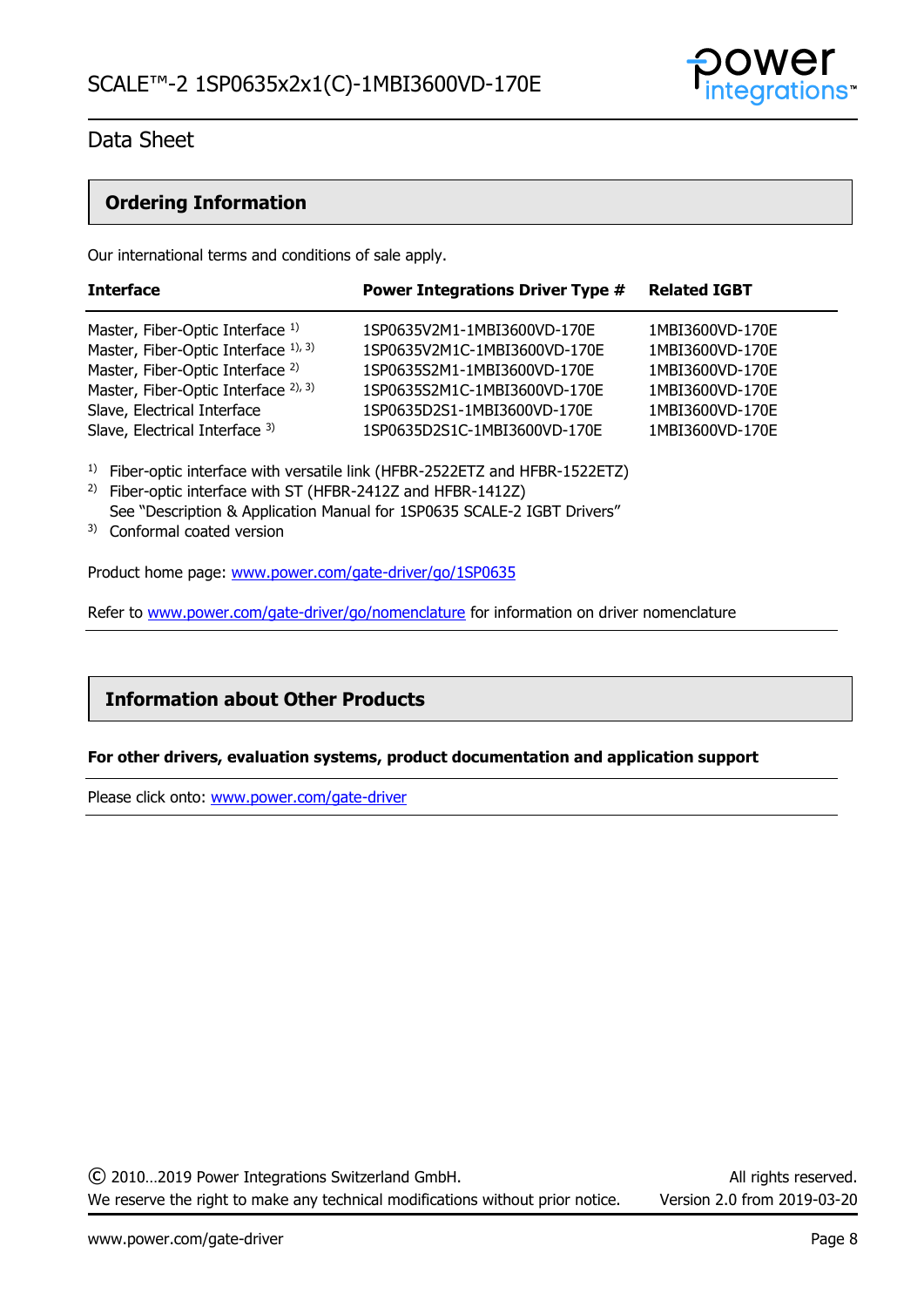

### **Ordering Information**

Our international terms and conditions of sale apply.

| <b>Interface</b>                            | <b>Power Integrations Driver Type #</b> | <b>Related IGBT</b> |  |
|---------------------------------------------|-----------------------------------------|---------------------|--|
| Master, Fiber-Optic Interface 1)            | 1SP0635V2M1-1MBI3600VD-170E             | 1MBI3600VD-170E     |  |
| Master, Fiber-Optic Interface 1), 3)        | 1SP0635V2M1C-1MBI3600VD-170E            | 1MBI3600VD-170E     |  |
| Master, Fiber-Optic Interface <sup>2)</sup> | 1SP0635S2M1-1MBI3600VD-170E             | 1MBI3600VD-170E     |  |
| Master, Fiber-Optic Interface 2), 3)        | 1SP0635S2M1C-1MBI3600VD-170E            | 1MBI3600VD-170E     |  |
| Slave, Electrical Interface                 | 1SP0635D2S1-1MBI3600VD-170E             | 1MBI3600VD-170E     |  |
| Slave, Electrical Interface 3)              | 1SP0635D2S1C-1MBI3600VD-170E            | 1MBI3600VD-170E     |  |

<sup>1)</sup> Fiber-optic interface with versatile link (HFBR-2522ETZ and HFBR-1522ETZ)

- 2) Fiber-optic interface with ST (HFBR-2412Z and HFBR-1412Z) See "Description & Application Manual for 1SP0635 SCALE-2 IGBT Drivers"
- 3) Conformal coated version

Product home page: [www.power.com/gate-driver/go/1SP0635](http://www.power.com/gate-driver/go/1SP0635)

Refer to [www.power.com/gate-driver/go/nomenclature](http://www.power.com/gate-driver/go/nomenclature) for information on driver nomenclature

### **Information about Other Products**

### **For other drivers, evaluation systems, product documentation and application support**

Please click onto: [www.power.com/gate-driver](http://www.power.com/gate-driver)